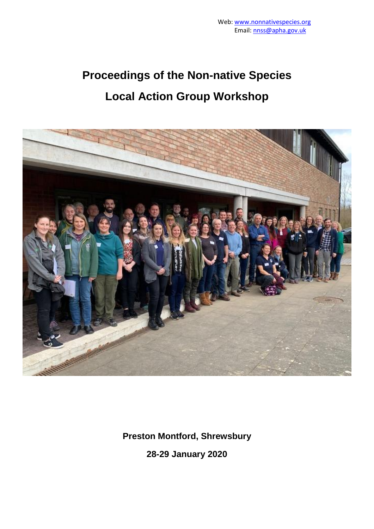# **Proceedings of the Non-native Species Local Action Group Workshop**



**Preston Montford, Shrewsbury**

**28-29 January 2020**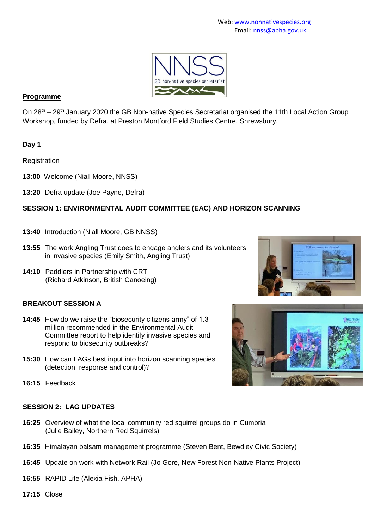

#### **Programme**

On 28<sup>th</sup> – 29<sup>th</sup> January 2020 the GB Non-native Species Secretariat organised the 11th Local Action Group Workshop, funded by Defra, at Preston Montford Field Studies Centre, Shrewsbury.

# **Day 1**

**Registration** 

- **13:00** Welcome (Niall Moore, NNSS)
- **13:20** Defra update (Joe Payne, Defra)

# **SESSION 1: ENVIRONMENTAL AUDIT COMMITTEE (EAC) AND HORIZON SCANNING**

- **13:40** Introduction (Niall Moore, GB NNSS)
- **13:55** The work Angling Trust does to engage anglers and its volunteers in invasive species (Emily Smith, Angling Trust)
- **14:10** Paddlers in Partnership with CRT (Richard Atkinson, British Canoeing)

# **BREAKOUT SESSION A**

- **14:45** How do we raise the "biosecurity citizens army" of 1.3 million recommended in the Environmental Audit Committee report to help identify invasive species and respond to biosecurity outbreaks?
- **15:30** How can LAGs best input into horizon scanning species (detection, response and control)?
- **16:15** Feedback



#### **SESSION 2: LAG UPDATES**

- **16:25** Overview of what the local community red squirrel groups do in Cumbria (Julie Bailey, Northern Red Squirrels)
- **16:35** Himalayan balsam management programme (Steven Bent, Bewdley Civic Society)
- **16:45** Update on work with Network Rail (Jo Gore, New Forest Non-Native Plants Project)
- **16:55** RAPID Life (Alexia Fish, APHA)
- **17:15** Close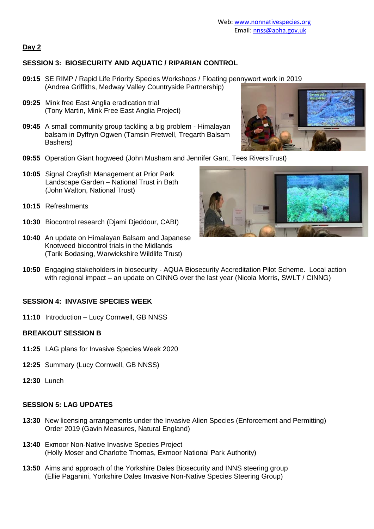# **Day 2**

# **SESSION 3: BIOSECURITY AND AQUATIC / RIPARIAN CONTROL**

- **09:15** SE RIMP / Rapid Life Priority Species Workshops / Floating pennywort work in 2019 (Andrea Griffiths, Medway Valley Countryside Partnership)
- **09:25** Mink free East Anglia eradication trial (Tony Martin, Mink Free East Anglia Project)
- **09:45** A small community group tackling a big problem Himalayan balsam in Dyffryn Ogwen (Tamsin Fretwell, Tregarth Balsam Bashers)
- **09:55** Operation Giant hogweed (John Musham and Jennifer Gant, Tees RiversTrust)
- **10:05** Signal Crayfish Management at Prior Park Landscape Garden – National Trust in Bath (John Walton, National Trust)
- **10:15** Refreshments
- **10:30** Biocontrol research (Djami Djeddour, CABI)
- **10:40** An update on Himalayan Balsam and Japanese Knotweed biocontrol trials in the Midlands (Tarik Bodasing, Warwickshire Wildlife Trust)



**10:50** Engaging stakeholders in biosecurity - AQUA Biosecurity Accreditation Pilot Scheme.Local action with regional impact – an update on CINNG over the last year (Nicola Morris, SWLT / CINNG)

#### **SESSION 4: INVASIVE SPECIES WEEK**

**11:10** Introduction – Lucy Cornwell, GB NNSS

#### **BREAKOUT SESSION B**

- **11:25** LAG plans for Invasive Species Week 2020
- **12:25** Summary (Lucy Cornwell, GB NNSS)
- **12:30** Lunch

#### **SESSION 5: LAG UPDATES**

- **13:30** New licensing arrangements under the Invasive Alien Species (Enforcement and Permitting) Order 2019 (Gavin Measures, Natural England)
- **13:40** Exmoor Non-Native Invasive Species Project (Holly Moser and Charlotte Thomas, Exmoor National Park Authority)
- **13:50** Aims and approach of the Yorkshire Dales Biosecurity and INNS steering group (Ellie Paganini, Yorkshire Dales Invasive Non-Native Species Steering Group)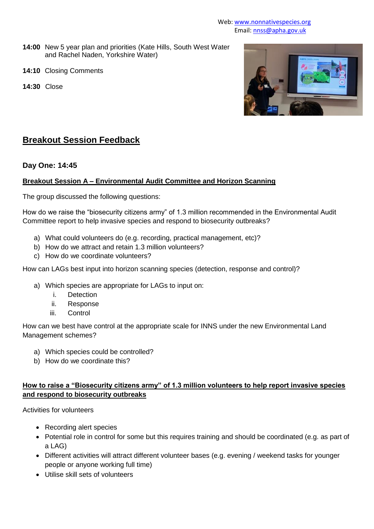- **14:00** New 5 year plan and priorities (Kate Hills, South West Water and Rachel Naden, Yorkshire Water)
- **14:10** Closing Comments
- **14:30** Close



# **Breakout Session Feedback**

#### **Day One: 14:45**

#### **Breakout Session A – Environmental Audit Committee and Horizon Scanning**

The group discussed the following questions:

How do we raise the "biosecurity citizens army" of 1.3 million recommended in the Environmental Audit Committee report to help invasive species and respond to biosecurity outbreaks?

- a) What could volunteers do (e.g. recording, practical management, etc)?
- b) How do we attract and retain 1.3 million volunteers?
- c) How do we coordinate volunteers?

How can LAGs best input into horizon scanning species (detection, response and control)?

- a) Which species are appropriate for LAGs to input on:
	- i. Detection
	- ii. Response
	- iii. Control

How can we best have control at the appropriate scale for INNS under the new Environmental Land Management schemes?

- a) Which species could be controlled?
- b) How do we coordinate this?

# **How to raise a "Biosecurity citizens army" of 1.3 million volunteers to help report invasive species and respond to biosecurity outbreaks**

Activities for volunteers

- Recording alert species
- Potential role in control for some but this requires training and should be coordinated (e.g. as part of a LAG)
- Different activities will attract different volunteer bases (e.g. evening / weekend tasks for younger people or anyone working full time)
- Utilise skill sets of volunteers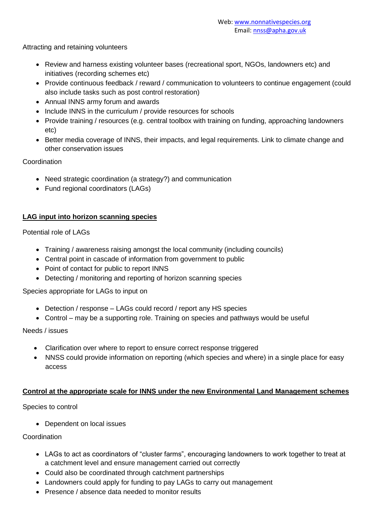Attracting and retaining volunteers

- Review and harness existing volunteer bases (recreational sport, NGOs, landowners etc) and initiatives (recording schemes etc)
- Provide continuous feedback / reward / communication to volunteers to continue engagement (could also include tasks such as post control restoration)
- Annual INNS army forum and awards
- Include INNS in the curriculum / provide resources for schools
- Provide training / resources (e.g. central toolbox with training on funding, approaching landowners etc)
- Better media coverage of INNS, their impacts, and legal requirements. Link to climate change and other conservation issues

Coordination

- Need strategic coordination (a strategy?) and communication
- Fund regional coordinators (LAGs)

#### **LAG input into horizon scanning species**

Potential role of LAGs

- Training / awareness raising amongst the local community (including councils)
- Central point in cascade of information from government to public
- Point of contact for public to report INNS
- Detecting / monitoring and reporting of horizon scanning species

Species appropriate for LAGs to input on

- Detection / response LAGs could record / report any HS species
- Control may be a supporting role. Training on species and pathways would be useful

Needs / issues

- Clarification over where to report to ensure correct response triggered
- NNSS could provide information on reporting (which species and where) in a single place for easy access

#### **Control at the appropriate scale for INNS under the new Environmental Land Management schemes**

Species to control

• Dependent on local issues

Coordination

- LAGs to act as coordinators of "cluster farms", encouraging landowners to work together to treat at a catchment level and ensure management carried out correctly
- Could also be coordinated through catchment partnerships
- Landowners could apply for funding to pay LAGs to carry out management
- Presence / absence data needed to monitor results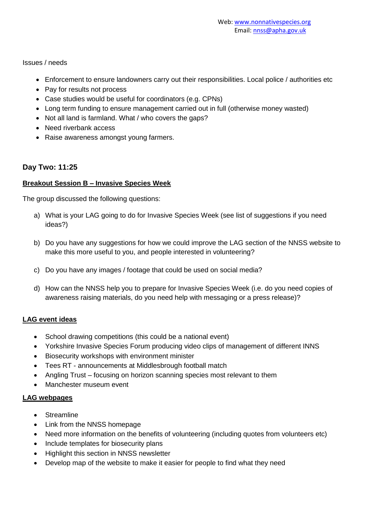Issues / needs

- Enforcement to ensure landowners carry out their responsibilities. Local police / authorities etc
- Pay for results not process
- Case studies would be useful for coordinators (e.g. CPNs)
- Long term funding to ensure management carried out in full (otherwise money wasted)
- Not all land is farmland. What / who covers the gaps?
- Need riverbank access
- Raise awareness amongst young farmers.

# **Day Two: 11:25**

#### **Breakout Session B – Invasive Species Week**

The group discussed the following questions:

- a) What is your LAG going to do for Invasive Species Week (see list of suggestions if you need ideas?)
- b) Do you have any suggestions for how we could improve the LAG section of the NNSS website to make this more useful to you, and people interested in volunteering?
- c) Do you have any images / footage that could be used on social media?
- d) How can the NNSS help you to prepare for Invasive Species Week (i.e. do you need copies of awareness raising materials, do you need help with messaging or a press release)?

# **LAG event ideas**

- School drawing competitions (this could be a national event)
- Yorkshire Invasive Species Forum producing video clips of management of different INNS
- Biosecurity workshops with environment minister
- Tees RT announcements at Middlesbrough football match
- Angling Trust focusing on horizon scanning species most relevant to them
- Manchester museum event

#### **LAG webpages**

- Streamline
- Link from the NNSS homepage
- Need more information on the benefits of volunteering (including quotes from volunteers etc)
- Include templates for biosecurity plans
- Highlight this section in NNSS newsletter
- Develop map of the website to make it easier for people to find what they need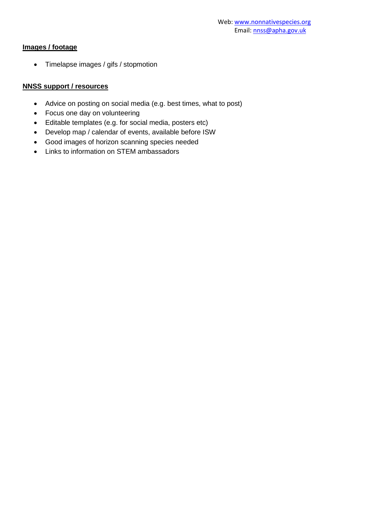# **Images / footage**

Timelapse images / gifs / stopmotion

#### **NNSS support / resources**

- Advice on posting on social media (e.g. best times, what to post)
- Focus one day on volunteering
- Editable templates (e.g. for social media, posters etc)
- Develop map / calendar of events, available before ISW
- Good images of horizon scanning species needed
- Links to information on STEM ambassadors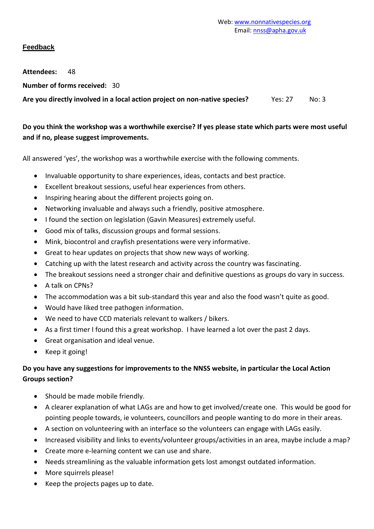# **Feedback**

**Attendees:** 48

**Number of forms received:** 30

Are you directly involved in a local action project on non-native species? Yes: 27 No: 3

# **Do you think the workshop was a worthwhile exercise? If yes please state which parts were most useful and if no, please suggest improvements.**

All answered 'yes', the workshop was a worthwhile exercise with the following comments.

- Invaluable opportunity to share experiences, ideas, contacts and best practice.
- Excellent breakout sessions, useful hear experiences from others.
- Inspiring hearing about the different projects going on.
- Networking invaluable and always such a friendly, positive atmosphere.
- I found the section on legislation (Gavin Measures) extremely useful.
- Good mix of talks, discussion groups and formal sessions.
- Mink, biocontrol and crayfish presentations were very informative.
- Great to hear updates on projects that show new ways of working.
- Catching up with the latest research and activity across the country was fascinating.
- The breakout sessions need a stronger chair and definitive questions as groups do vary in success.
- A talk on CPNs?
- The accommodation was a bit sub-standard this year and also the food wasn't quite as good.
- Would have liked tree pathogen information.
- We need to have CCD materials relevant to walkers / bikers.
- As a first timer I found this a great workshop. I have learned a lot over the past 2 days.
- Great organisation and ideal venue.
- Keep it going!

# **Do you have any suggestions for improvements to the NNSS website, in particular the Local Action Groups section?**

- Should be made mobile friendly.
- A clearer explanation of what LAGs are and how to get involved/create one. This would be good for pointing people towards, ie volunteers, councillors and people wanting to do more in their areas.
- A section on volunteering with an interface so the volunteers can engage with LAGs easily.
- Increased visibility and links to events/volunteer groups/activities in an area, maybe include a map?
- Create more e-learning content we can use and share.
- Needs streamlining as the valuable information gets lost amongst outdated information.
- More squirrels please!
- Keep the projects pages up to date.